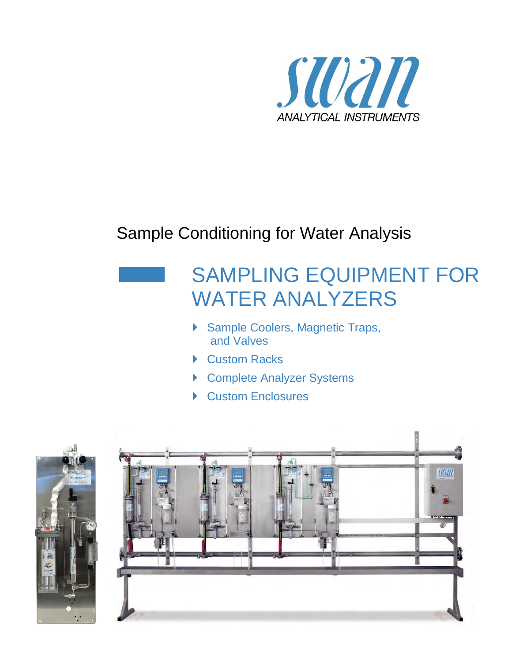

## Sample Conditioning for Water Analysis

# SAMPLING EQUIPMENT FOR WATER ANALYZERS

- ▶ Sample Coolers, Magnetic Traps, and Valves
- ▶ Custom Racks
- ▶ Complete Analyzer Systems
- ▶ Custom Enclosures